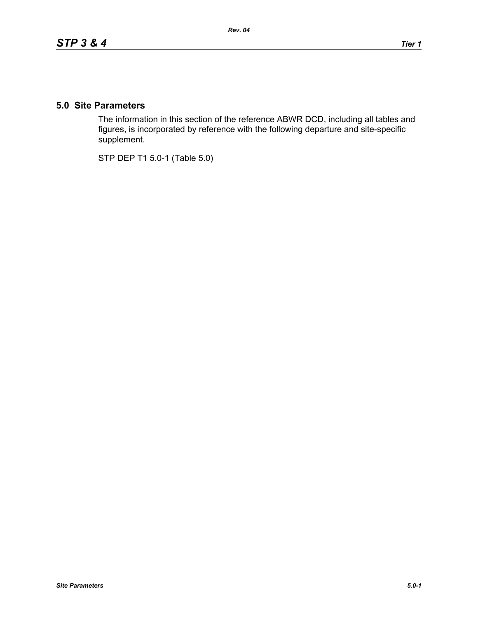## **5.0 Site Parameters**

The information in this section of the reference ABWR DCD, including all tables and figures, is incorporated by reference with the following departure and site-specific supplement.

STP DEP T1 5.0-1 (Table 5.0)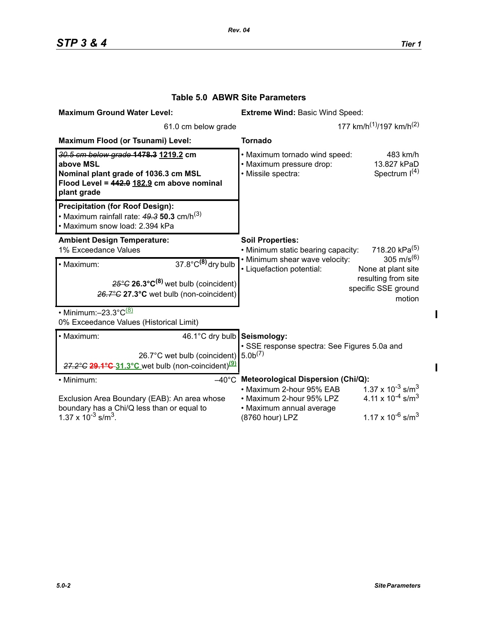$\mathbf{I}$ 

 $\mathbf{I}$ 

| <b>Maximum Ground Water Level:</b>                                                                                                                                         | <b>Extreme Wind: Basic Wind Speed:</b>                                                                                                                                                                                                                                     |
|----------------------------------------------------------------------------------------------------------------------------------------------------------------------------|----------------------------------------------------------------------------------------------------------------------------------------------------------------------------------------------------------------------------------------------------------------------------|
| 61.0 cm below grade                                                                                                                                                        | 177 km/h <sup>(1)</sup> /197 km/h <sup>(2)</sup>                                                                                                                                                                                                                           |
| <b>Maximum Flood (or Tsunami) Level:</b>                                                                                                                                   | <b>Tornado</b>                                                                                                                                                                                                                                                             |
| 30.5 cm below grade 1478.3 1219.2 cm<br>above MSL<br>Nominal plant grade of 1036.3 cm MSL<br>Flood Level = 442.0 182.9 cm above nominal<br>plant grade                     | . Maximum tornado wind speed:<br>483 km/h<br>· Maximum pressure drop:<br>13.827 kPaD<br>Spectrum $I(4)$<br>· Missile spectra:                                                                                                                                              |
| <b>Precipitation (for Roof Design):</b><br>• Maximum rainfall rate: $49.3$ 50.3 cm/h <sup>(3)</sup><br>• Maximum snow load: 2.394 kPa                                      |                                                                                                                                                                                                                                                                            |
| <b>Ambient Design Temperature:</b><br>1% Exceedance Values                                                                                                                 | <b>Soil Properties:</b><br>718.20 kPa <sup>(5)</sup><br>• Minimum static bearing capacity:                                                                                                                                                                                 |
| $37.8^{\circ}$ C <sup>(8)</sup> dry bulb<br>· Maximum:<br>$25^{\circ}$ G 26.3 $^{\circ}$ C <sup>(8)</sup> wet bulb (coincident)<br>26.7°C 27.3°C wet bulb (non-coincident) | 305 m/s <sup>(6)</sup><br>. Minimum shear wave velocity:<br>• Liquefaction potential:<br>None at plant site<br>resulting from site<br>specific SSE ground<br>motion                                                                                                        |
| • Minimum: $-23.3^{\circ} \overline{C^{(8)}}$<br>0% Exceedance Values (Historical Limit)                                                                                   |                                                                                                                                                                                                                                                                            |
| · Maximum:<br>46.1°C dry bulb Seismology:<br>26.7°C wet bulb (coincident)<br>$27.2^{\circ}$ C 29.1°C 31.3°C wet bulb (non-coincident) <sup>(9)</sup>                       | · SSE response spectra: See Figures 5.0a and<br>5.0 <sup>(7)</sup>                                                                                                                                                                                                         |
| • Minimum:<br>Exclusion Area Boundary (EAB): An area whose<br>boundary has a Chi/Q less than or equal to<br>1.37 x $10^{-3}$ s/m <sup>3</sup> .                            | -40°C Meteorological Dispersion (Chi/Q):<br>$1.37 \times 10^{-3}$ s/m <sup>3</sup><br>• Maximum 2-hour 95% EAB<br>4.11 x $10^{-4}$ s/m <sup>3</sup><br>• Maximum 2-hour 95% LPZ<br>• Maximum annual average<br>1.17 x 10 <sup>-6</sup> s/m <sup>3</sup><br>(8760 hour) LPZ |

## **Table 5.0 ABWR Site Parameters**